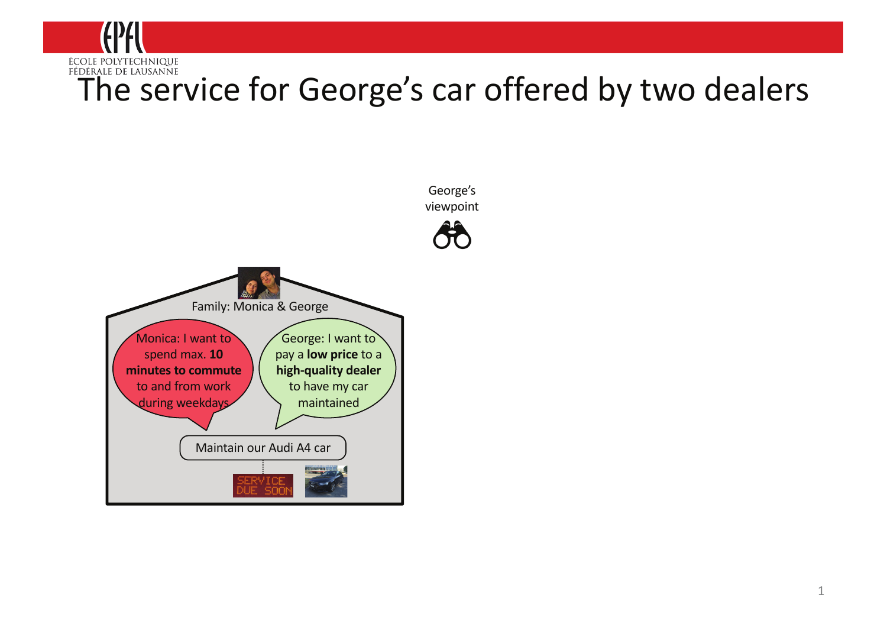

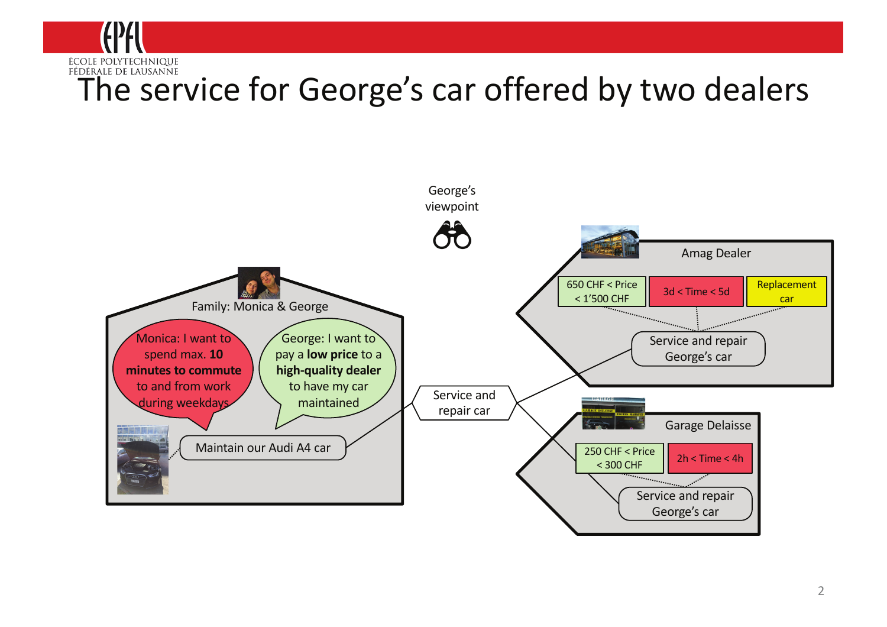

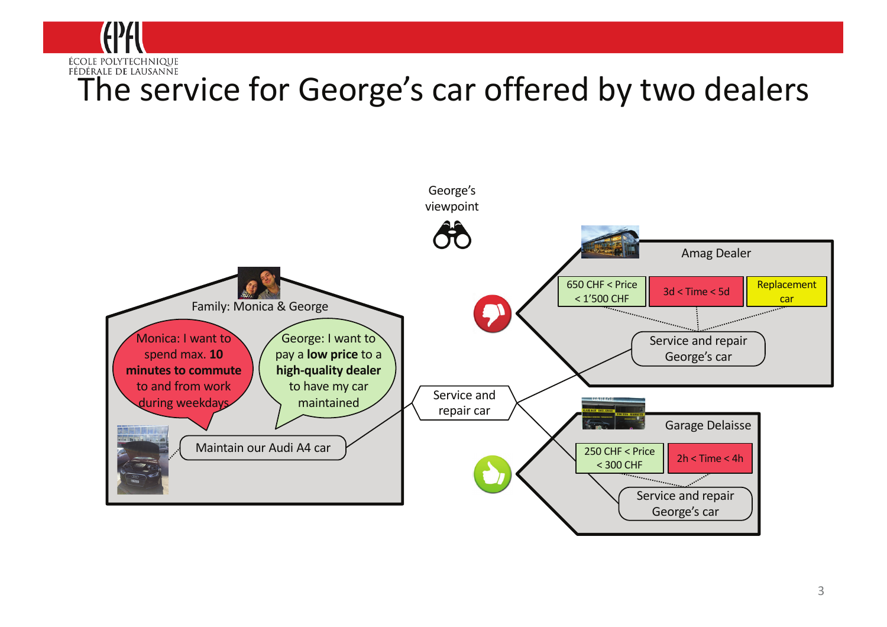

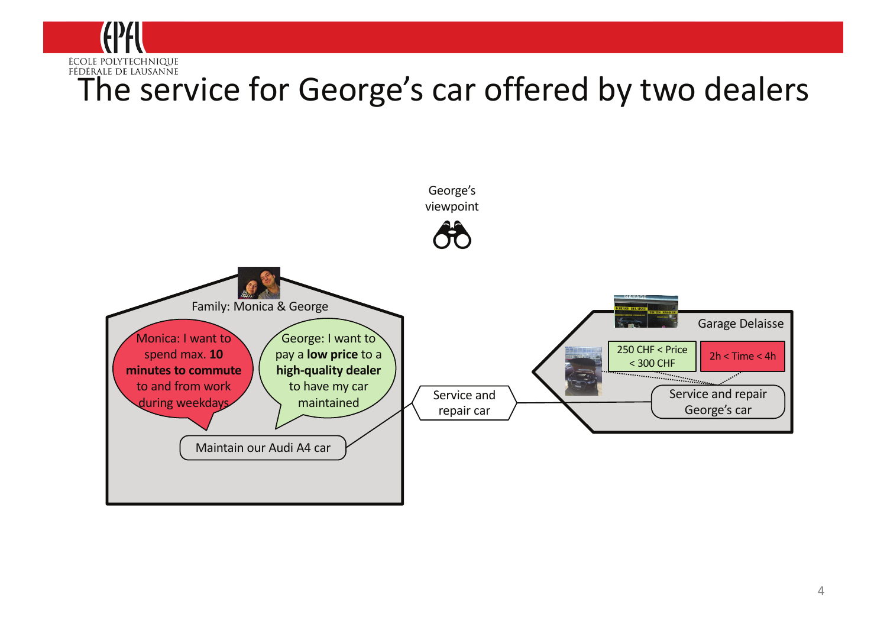

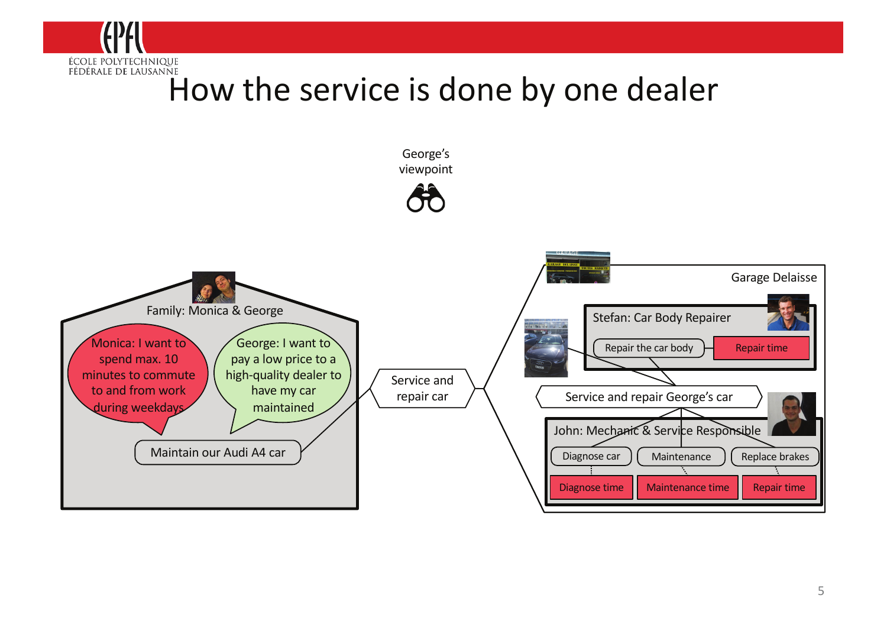

### How the service is done by one dealer